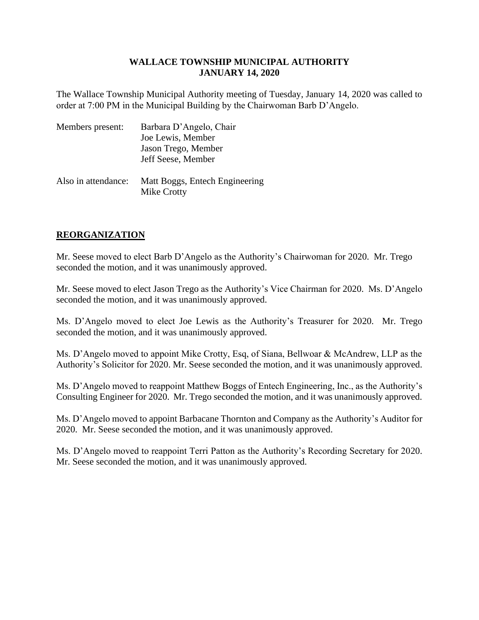The Wallace Township Municipal Authority meeting of Tuesday, January 14, 2020 was called to order at 7:00 PM in the Municipal Building by the Chairwoman Barb D'Angelo.

| Members present:    | Barbara D'Angelo, Chair<br>Joe Lewis, Member  |
|---------------------|-----------------------------------------------|
|                     | Jason Trego, Member                           |
|                     | Jeff Seese, Member                            |
| Also in attendance: | Matt Boggs, Entech Engineering<br>Mike Crotty |

# **REORGANIZATION**

Mr. Seese moved to elect Barb D'Angelo as the Authority's Chairwoman for 2020. Mr. Trego seconded the motion, and it was unanimously approved.

Mr. Seese moved to elect Jason Trego as the Authority's Vice Chairman for 2020. Ms. D'Angelo seconded the motion, and it was unanimously approved.

Ms. D'Angelo moved to elect Joe Lewis as the Authority's Treasurer for 2020. Mr. Trego seconded the motion, and it was unanimously approved.

Ms. D'Angelo moved to appoint Mike Crotty, Esq, of Siana, Bellwoar & McAndrew, LLP as the Authority's Solicitor for 2020. Mr. Seese seconded the motion, and it was unanimously approved.

Ms. D'Angelo moved to reappoint Matthew Boggs of Entech Engineering, Inc., as the Authority's Consulting Engineer for 2020. Mr. Trego seconded the motion, and it was unanimously approved.

Ms. D'Angelo moved to appoint Barbacane Thornton and Company as the Authority's Auditor for 2020. Mr. Seese seconded the motion, and it was unanimously approved.

Ms. D'Angelo moved to reappoint Terri Patton as the Authority's Recording Secretary for 2020. Mr. Seese seconded the motion, and it was unanimously approved.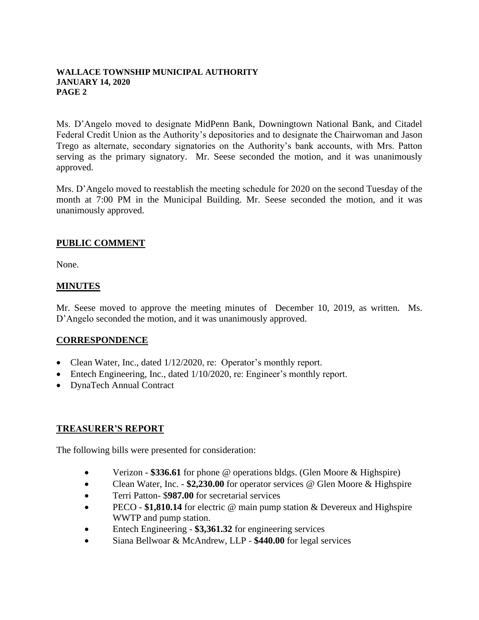Ms. D'Angelo moved to designate MidPenn Bank, Downingtown National Bank, and Citadel Federal Credit Union as the Authority's depositories and to designate the Chairwoman and Jason Trego as alternate, secondary signatories on the Authority's bank accounts, with Mrs. Patton serving as the primary signatory. Mr. Seese seconded the motion, and it was unanimously approved.

Mrs. D'Angelo moved to reestablish the meeting schedule for 2020 on the second Tuesday of the month at 7:00 PM in the Municipal Building. Mr. Seese seconded the motion, and it was unanimously approved.

### **PUBLIC COMMENT**

None.

#### **MINUTES**

Mr. Seese moved to approve the meeting minutes of December 10, 2019, as written. Ms. D'Angelo seconded the motion, and it was unanimously approved.

#### **CORRESPONDENCE**

- Clean Water, Inc., dated  $1/12/2020$ , re: Operator's monthly report.
- Entech Engineering, Inc., dated 1/10/2020, re: Engineer's monthly report.
- DynaTech Annual Contract

## **TREASURER'S REPORT**

The following bills were presented for consideration:

- Verizon \$336.61 for phone @ operations bldgs. (Glen Moore & Highspire)
- Clean Water, Inc. **\$2,230.00** for operator services @ Glen Moore & Highspire
- Terri Patton- \$**987.00** for secretarial services
- PECO **\$1,810.14** for electric @ main pump station & Devereux and Highspire WWTP and pump station.
- Entech Engineering **\$3,361.32** for engineering services
- Siana Bellwoar & McAndrew, LLP **\$440.00** for legal services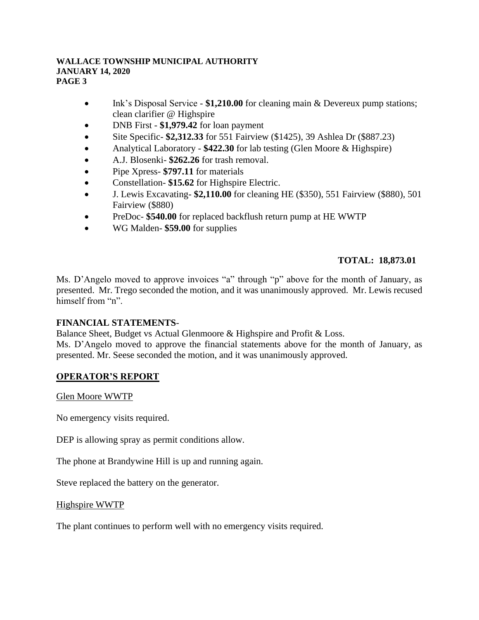- Ink's Disposal Service \$1,210.00 for cleaning main & Devereux pump stations; clean clarifier @ Highspire
- DNB First **\$1,979.42** for loan payment
- Site Specific- \$2,312.33 for 551 Fairview (\$1425), 39 Ashlea Dr (\$887.23)
- Analytical Laboratory **\$422.30** for lab testing (Glen Moore & Highspire)
- A.J. Blosenki- **\$262.26** for trash removal.
- Pipe Xpress- **\$797.11** for materials
- Constellation- **\$15.62** for Highspire Electric.
- J. Lewis Excavating- **\$2,110.00** for cleaning HE (\$350), 551 Fairview (\$880), 501 Fairview (\$880)
- PreDoc- **\$540.00** for replaced backflush return pump at HE WWTP
- WG Malden- **\$59.00** for supplies

# **TOTAL: 18,873.01**

Ms. D'Angelo moved to approve invoices "a" through "p" above for the month of January, as presented. Mr. Trego seconded the motion, and it was unanimously approved. Mr. Lewis recused himself from "n".

## **FINANCIAL STATEMENTS**-

Balance Sheet, Budget vs Actual Glenmoore & Highspire and Profit & Loss.

Ms. D'Angelo moved to approve the financial statements above for the month of January, as presented. Mr. Seese seconded the motion, and it was unanimously approved.

## **OPERATOR'S REPORT**

Glen Moore WWTP

No emergency visits required.

DEP is allowing spray as permit conditions allow.

The phone at Brandywine Hill is up and running again.

Steve replaced the battery on the generator.

#### Highspire WWTP

The plant continues to perform well with no emergency visits required.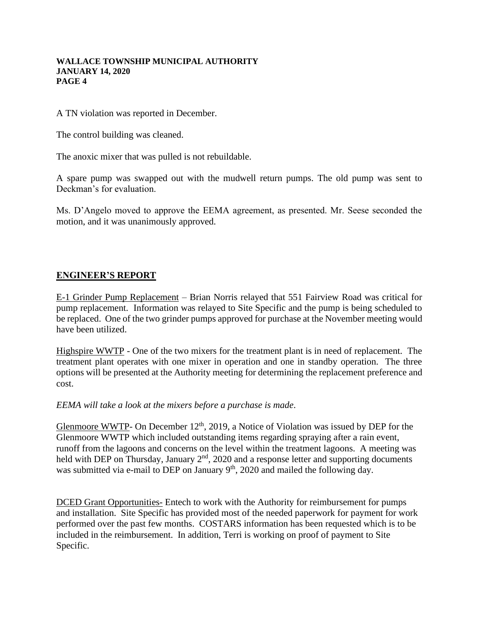A TN violation was reported in December.

The control building was cleaned.

The anoxic mixer that was pulled is not rebuildable.

A spare pump was swapped out with the mudwell return pumps. The old pump was sent to Deckman's for evaluation.

Ms. D'Angelo moved to approve the EEMA agreement, as presented. Mr. Seese seconded the motion, and it was unanimously approved.

## **ENGINEER'S REPORT**

E-1 Grinder Pump Replacement – Brian Norris relayed that 551 Fairview Road was critical for pump replacement. Information was relayed to Site Specific and the pump is being scheduled to be replaced. One of the two grinder pumps approved for purchase at the November meeting would have been utilized.

Highspire WWTP - One of the two mixers for the treatment plant is in need of replacement. The treatment plant operates with one mixer in operation and one in standby operation. The three options will be presented at the Authority meeting for determining the replacement preference and cost.

*EEMA will take a look at the mixers before a purchase is made*.

Glenmoore WWTP- On December  $12<sup>th</sup>$ , 2019, a Notice of Violation was issued by DEP for the Glenmoore WWTP which included outstanding items regarding spraying after a rain event, runoff from the lagoons and concerns on the level within the treatment lagoons. A meeting was held with DEP on Thursday, January 2<sup>nd</sup>, 2020 and a response letter and supporting documents was submitted via e-mail to DEP on January  $9<sup>th</sup>$ , 2020 and mailed the following day.

DCED Grant Opportunities- Entech to work with the Authority for reimbursement for pumps and installation. Site Specific has provided most of the needed paperwork for payment for work performed over the past few months. COSTARS information has been requested which is to be included in the reimbursement. In addition, Terri is working on proof of payment to Site Specific.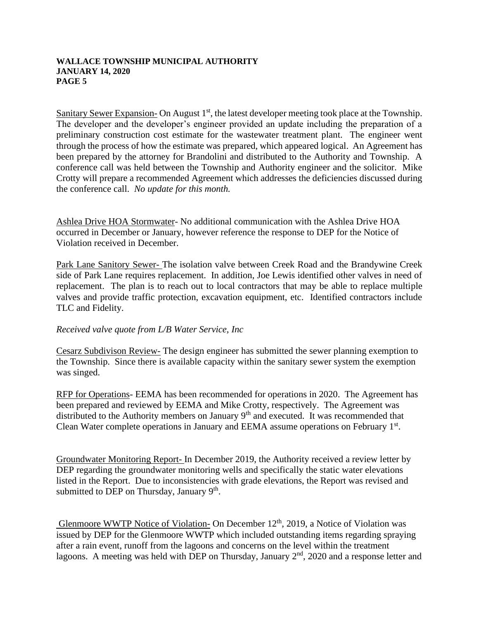Sanitary Sewer Expansion- On August  $1<sup>st</sup>$ , the latest developer meeting took place at the Township. The developer and the developer's engineer provided an update including the preparation of a preliminary construction cost estimate for the wastewater treatment plant. The engineer went through the process of how the estimate was prepared, which appeared logical. An Agreement has been prepared by the attorney for Brandolini and distributed to the Authority and Township. A conference call was held between the Township and Authority engineer and the solicitor. Mike Crotty will prepare a recommended Agreement which addresses the deficiencies discussed during the conference call. *No update for this month.*

Ashlea Drive HOA Stormwater- No additional communication with the Ashlea Drive HOA occurred in December or January, however reference the response to DEP for the Notice of Violation received in December.

Park Lane Sanitory Sewer- The isolation valve between Creek Road and the Brandywine Creek side of Park Lane requires replacement. In addition, Joe Lewis identified other valves in need of replacement. The plan is to reach out to local contractors that may be able to replace multiple valves and provide traffic protection, excavation equipment, etc. Identified contractors include TLC and Fidelity.

#### *Received valve quote from L/B Water Service, Inc*

Cesarz Subdivison Review- The design engineer has submitted the sewer planning exemption to the Township. Since there is available capacity within the sanitary sewer system the exemption was singed.

RFP for Operations- EEMA has been recommended for operations in 2020. The Agreement has been prepared and reviewed by EEMA and Mike Crotty, respectively. The Agreement was distributed to the Authority members on January 9<sup>th</sup> and executed. It was recommended that Clean Water complete operations in January and EEMA assume operations on February 1<sup>st</sup>.

Groundwater Monitoring Report- In December 2019, the Authority received a review letter by DEP regarding the groundwater monitoring wells and specifically the static water elevations listed in the Report. Due to inconsistencies with grade elevations, the Report was revised and submitted to DEP on Thursday, January  $9<sup>th</sup>$ .

Glenmoore WWTP Notice of Violation- On December  $12<sup>th</sup>$ , 2019, a Notice of Violation was issued by DEP for the Glenmoore WWTP which included outstanding items regarding spraying after a rain event, runoff from the lagoons and concerns on the level within the treatment lagoons. A meeting was held with DEP on Thursday, January  $2<sup>nd</sup>$ , 2020 and a response letter and